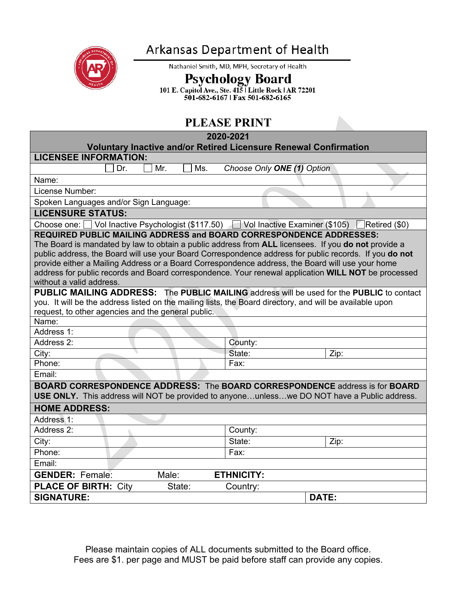

## Arkansas Department of Health

Nathaniel Smith, MD, MPH, Secretary of Health

Psychology Board<br>101 E. Capitol Ave., Ste. 415 | Little Rock | AR 72201<br>501-682-6167 | Fax 501-682-6165

## **PLEASE PDINT**

| <b>PLEASE PRINT</b>                                                                                      |                                                                                                     |  |
|----------------------------------------------------------------------------------------------------------|-----------------------------------------------------------------------------------------------------|--|
| 2020-2021                                                                                                |                                                                                                     |  |
| <b>Voluntary Inactive and/or Retired Licensure Renewal Confirmation</b>                                  |                                                                                                     |  |
| <b>LICENSEE INFORMATION:</b>                                                                             |                                                                                                     |  |
| Mr.<br>Ms.<br>Dr.                                                                                        | Choose Only ONE (1) Option                                                                          |  |
| Name:                                                                                                    |                                                                                                     |  |
| License Number:                                                                                          |                                                                                                     |  |
| Spoken Languages and/or Sign Language:                                                                   |                                                                                                     |  |
| <b>LICENSURE STATUS:</b>                                                                                 |                                                                                                     |  |
| Choose one: Vol Inactive Psychologist (\$117.50) Vol Inactive Examiner (\$105) Retired (\$0)             |                                                                                                     |  |
| <b>REQUIRED PUBLIC MAILING ADDRESS and BOARD CORRESPONDENCE ADDRESSES:</b>                               |                                                                                                     |  |
| The Board is mandated by law to obtain a public address from ALL licensees. If you do not provide a      |                                                                                                     |  |
| public address, the Board will use your Board Correspondence address for public records. If you do not   |                                                                                                     |  |
| provide either a Mailing Address or a Board Correspondence address, the Board will use your home         | address for public records and Board correspondence. Your renewal application WILL NOT be processed |  |
| without a valid address.                                                                                 |                                                                                                     |  |
| <b>PUBLIC MAILING ADDRESS:</b> The PUBLIC MAILING address will be used for the PUBLIC to contact         |                                                                                                     |  |
| you. It will be the address listed on the mailing lists, the Board directory, and will be available upon |                                                                                                     |  |
| request, to other agencies and the general public.                                                       |                                                                                                     |  |
| Name:                                                                                                    |                                                                                                     |  |
| Address 1:                                                                                               |                                                                                                     |  |
| Address 2:                                                                                               | County:                                                                                             |  |
| City:                                                                                                    | State:<br>Zip:                                                                                      |  |
| Phone:                                                                                                   | Fax:                                                                                                |  |
| Email:                                                                                                   |                                                                                                     |  |
| <b>BOARD CORRESPONDENCE ADDRESS: The BOARD CORRESPONDENCE address is for BOARD</b>                       |                                                                                                     |  |
| <b>USE ONLY.</b> This address will NOT be provided to anyoneunlesswe DO NOT have a Public address.       |                                                                                                     |  |
| <b>HOME ADDRESS:</b>                                                                                     |                                                                                                     |  |
| Address 1:                                                                                               |                                                                                                     |  |
| Address 2:                                                                                               | County:                                                                                             |  |
| City:                                                                                                    | State:<br>Zip:                                                                                      |  |
| Phone:                                                                                                   | Fax:                                                                                                |  |
| Email:                                                                                                   |                                                                                                     |  |
| <b>GENDER: Female:</b><br>Male:                                                                          | <b>ETHNICITY:</b>                                                                                   |  |
| <b>PLACE OF BIRTH: City</b><br>State:                                                                    | Country:                                                                                            |  |
| <b>SIGNATURE:</b>                                                                                        | <b>DATE:</b>                                                                                        |  |

Please maintain copies of ALL documents submitted to the Board office. Fees are \$1. per page and MUST be paid before staff can provide any copies.